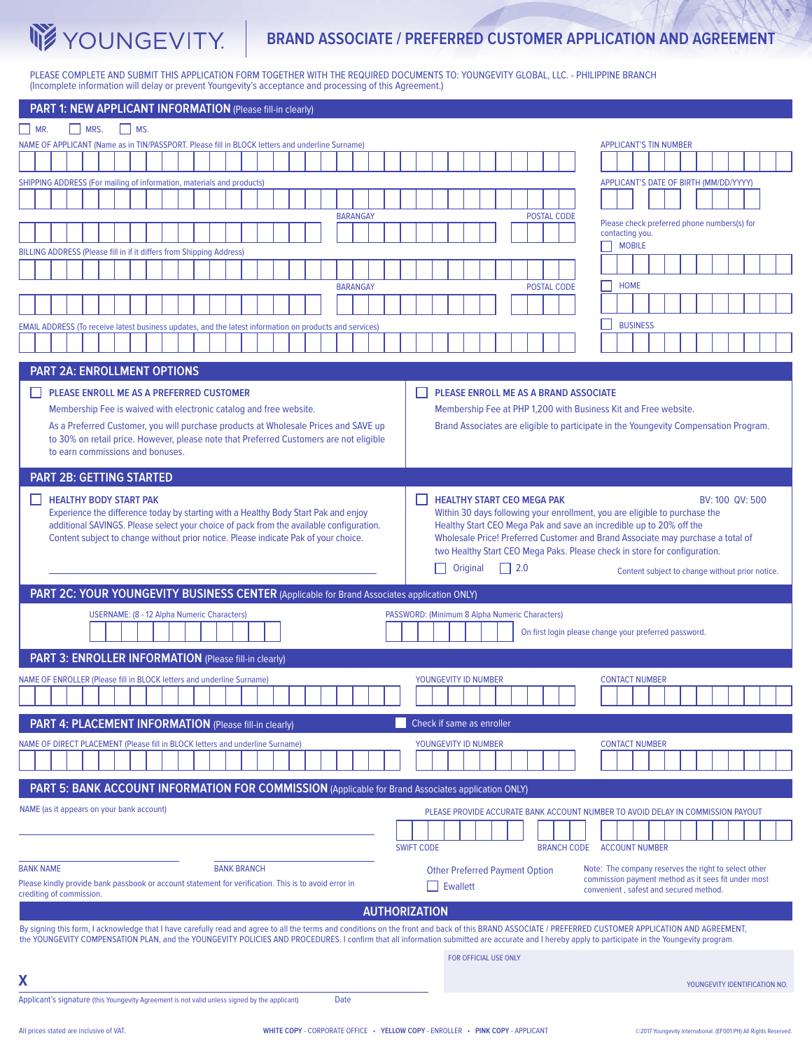

# **BRAND ASSOCIATE / PREFERRED CUSTOMER APPLICATION AND AGREEMENT**

W

ħ

PLEASE COMPLETE AND SUBMIT THIS APPLICATION FORM TOGETHER WITH THE REQUIRED DOCUMENTS TO: YOUNGEVITY GLOBAL, LLC. - PHILIPPINE BRANCH (Incomplete information will delay or prevent Youngevity's acceptance and processing of this Agreement.)

| PART 1: NEW APPLICANT INFORMATION (Please fill-in clearly)                                                                                                                                                                                                            |                                                                                 |                                                                                                             |
|-----------------------------------------------------------------------------------------------------------------------------------------------------------------------------------------------------------------------------------------------------------------------|---------------------------------------------------------------------------------|-------------------------------------------------------------------------------------------------------------|
| MRS.<br>$\vert$ MR.<br>$\mid$ MS.                                                                                                                                                                                                                                     |                                                                                 |                                                                                                             |
| NAME OF APPLICANT (Name as in TIN/PASSPORT. Please fill in BLOCK letters and underline Surname)                                                                                                                                                                       |                                                                                 | <b>APPLICANT'S TIN NUMBER</b>                                                                               |
|                                                                                                                                                                                                                                                                       |                                                                                 |                                                                                                             |
| SHIPPING ADDRESS (For mailing of information, materials and products)                                                                                                                                                                                                 |                                                                                 | APPLICANT'S DATE OF BIRTH (MM/DD/YYYY)                                                                      |
|                                                                                                                                                                                                                                                                       |                                                                                 |                                                                                                             |
| <b>BARANGAY</b>                                                                                                                                                                                                                                                       | <b>POSTAL CODE</b>                                                              | Please check preferred phone numbers(s) for                                                                 |
|                                                                                                                                                                                                                                                                       |                                                                                 | contacting you.                                                                                             |
| BILLING ADDRESS (Please fill in if it differs from Shipping Address)                                                                                                                                                                                                  |                                                                                 | <b>MOBILE</b>                                                                                               |
|                                                                                                                                                                                                                                                                       |                                                                                 |                                                                                                             |
| <b>BARANGAY</b>                                                                                                                                                                                                                                                       | <b>POSTAL CODE</b>                                                              | <b>HOME</b>                                                                                                 |
|                                                                                                                                                                                                                                                                       |                                                                                 |                                                                                                             |
| EMAIL ADDRESS (To receive latest business updates, and the latest information on products and services)                                                                                                                                                               |                                                                                 | <b>BUSINESS</b>                                                                                             |
|                                                                                                                                                                                                                                                                       |                                                                                 |                                                                                                             |
| <b>PART 2A: ENROLLMENT OPTIONS</b>                                                                                                                                                                                                                                    |                                                                                 |                                                                                                             |
|                                                                                                                                                                                                                                                                       |                                                                                 |                                                                                                             |
| PLEASE ENROLL ME AS A PREFERRED CUSTOMER<br>PLEASE ENROLL ME AS A BRAND ASSOCIATE                                                                                                                                                                                     |                                                                                 |                                                                                                             |
| Membership Fee is waived with electronic catalog and free website.<br>Membership Fee at PHP 1,200 with Business Kit and Free website.                                                                                                                                 |                                                                                 |                                                                                                             |
| As a Preferred Customer, you will purchase products at Wholesale Prices and SAVE up<br>Brand Associates are eligible to participate in the Youngevity Compensation Program.<br>to 30% on retail price. However, please note that Preferred Customers are not eligible |                                                                                 |                                                                                                             |
| to earn commissions and bonuses.                                                                                                                                                                                                                                      |                                                                                 |                                                                                                             |
| <b>PART 2B: GETTING STARTED</b>                                                                                                                                                                                                                                       |                                                                                 |                                                                                                             |
|                                                                                                                                                                                                                                                                       |                                                                                 |                                                                                                             |
| <b>HEALTHY BODY START PAK</b><br><b>HEALTHY START CEO MEGA PAK</b><br>BV: 100 QV: 500<br>Experience the difference today by starting with a Healthy Body Start Pak and enjoy<br>Within 30 days following your enrollment, you are eligible to purchase the            |                                                                                 |                                                                                                             |
| additional SAVINGS. Please select your choice of pack from the available configuration.                                                                                                                                                                               | Healthy Start CEO Mega Pak and save an incredible up to 20% off the             |                                                                                                             |
| Content subject to change without prior notice. Please indicate Pak of your choice.<br>Wholesale Price! Preferred Customer and Brand Associate may purchase a total of                                                                                                |                                                                                 |                                                                                                             |
|                                                                                                                                                                                                                                                                       | two Healthy Start CEO Mega Paks. Please check in store for configuration.       |                                                                                                             |
|                                                                                                                                                                                                                                                                       | Original<br>$\vert$   2.0<br>$\mathsf{L}$                                       | Content subject to change without prior notice.                                                             |
| PART 2C: YOUR YOUNGEVITY BUSINESS CENTER (Applicable for Brand Associates application ONLY)                                                                                                                                                                           |                                                                                 |                                                                                                             |
| <b>USERNAME: (8 - 12 Alpha Numeric Characters)</b><br>PASSWORD: (Minimum 8 Alpha Numeric Characters)                                                                                                                                                                  |                                                                                 |                                                                                                             |
| On first login please change your preferred password.                                                                                                                                                                                                                 |                                                                                 |                                                                                                             |
|                                                                                                                                                                                                                                                                       |                                                                                 |                                                                                                             |
| PART 3: ENROLLER INFORMATION (Please fill-in clearly)                                                                                                                                                                                                                 |                                                                                 |                                                                                                             |
| NAME OF ENROLLER (Please fill in BLOCK letters and underline Surname)                                                                                                                                                                                                 | YOUNGEVITY ID NUMBER                                                            | <b>CONTACT NUMBER</b>                                                                                       |
|                                                                                                                                                                                                                                                                       |                                                                                 |                                                                                                             |
| Check if same as enroller<br>PART 4: PLACEMENT INFORMATION (Please fill-in clearly)                                                                                                                                                                                   |                                                                                 |                                                                                                             |
|                                                                                                                                                                                                                                                                       |                                                                                 |                                                                                                             |
| NAME OF DIRECT PLACEMENT (Please fill in BLOCK letters and underline Surname)                                                                                                                                                                                         | YOUNGEVITY ID NUMBER                                                            | <b>CONTACT NUMBER</b>                                                                                       |
|                                                                                                                                                                                                                                                                       |                                                                                 |                                                                                                             |
| PART 5: BANK ACCOUNT INFORMATION FOR COMMISSION (Applicable for Brand Associates application ONLY)                                                                                                                                                                    |                                                                                 |                                                                                                             |
| NAME (as it appears on your bank account)                                                                                                                                                                                                                             | PLEASE PROVIDE ACCURATE BANK ACCOUNT NUMBER TO AVOID DELAY IN COMMISSION PAYOUT |                                                                                                             |
|                                                                                                                                                                                                                                                                       |                                                                                 |                                                                                                             |
|                                                                                                                                                                                                                                                                       | <b>SWIFT CODE</b><br><b>BRANCH CODE</b>                                         | <b>ACCOUNT NUMBER</b>                                                                                       |
|                                                                                                                                                                                                                                                                       |                                                                                 |                                                                                                             |
| <b>BANK NAME</b><br><b>BANK BRANCH</b><br>Please kindly provide bank passbook or account statement for verification. This is to avoid error in                                                                                                                        | <b>Other Preferred Payment Option</b>                                           | Note: The company reserves the right to select other<br>commission payment method as it sees fit under most |
| crediting of commission.                                                                                                                                                                                                                                              | <b>Ewallett</b>                                                                 | convenient, safest and secured method.                                                                      |
| <b>AUTHORIZATION</b>                                                                                                                                                                                                                                                  |                                                                                 |                                                                                                             |
| By signing this form, I acknowledge that I have carefully read and agree to all the terms and conditions on the front and back of this BRAND ASSOCIATE / PREFERRED CUSTOMER APPLICATION AND AGREEMENT,                                                                |                                                                                 |                                                                                                             |
| the YOUNGEVITY COMPENSATION PLAN, and the YOUNGEVITY POLICIES AND PROCEDURES. I confirm that all information submitted are accurate and I hereby apply to participate in the Youngevity program.                                                                      |                                                                                 |                                                                                                             |
|                                                                                                                                                                                                                                                                       | FOR OFFICIAL USE ONLY                                                           |                                                                                                             |
| Χ                                                                                                                                                                                                                                                                     |                                                                                 | YOUNGEVITY IDENTIFICATION NO.                                                                               |
| Applicant's signature (this Youngevity Agreement is not valid unless signed by the applicant)<br>Date                                                                                                                                                                 |                                                                                 |                                                                                                             |